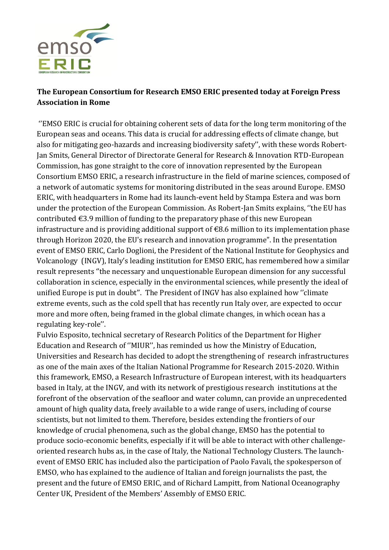

## **The European Consortium for Research EMSO ERIC presented today at Foreign Press Association in Rome**

''EMSO ERIC is crucial for obtaining coherent sets of data for the long term monitoring of the European seas and oceans. This data is crucial for addressing effects of climate change, but also for mitigating geo-hazards and increasing biodiversity safety'', with these words Robert-Jan Smits, General Director of Directorate General for Research & Innovation RTD-European Commission, has gone straight to the core of innovation represented by the European Consortium EMSO ERIC, a research infrastructure in the field of marine sciences, composed of a network of automatic systems for monitoring distributed in the seas around Europe. EMSO ERIC, with headquarters in Rome had its launch-event held by Stampa Estera and was born under the protection of the European Commission. As Robert-Jan Smits explains, ''the EU has contributed  $\epsilon$ 3.9 million of funding to the preparatory phase of this new European infrastructure and is providing additional support of  $\epsilon$ 8.6 million to its implementation phase through Horizon 2020, the EU's research and innovation programme". In the presentation event of EMSO ERIC, Carlo Doglioni, the President of the National Institute for Geophysics and Volcanology (INGV), Italy's leading institution for EMSO ERIC, has remembered how a similar result represents ''the necessary and unquestionable European dimension for any successful collaboration in science, especially in the environmental sciences, while presently the ideal of unified Europe is put in doubt''. The President of INGV has also explained how ''climate extreme events, such as the cold spell that has recently run Italy over, are expected to occur more and more often, being framed in the global climate changes, in which ocean has a regulating key-role''.

Fulvio Esposito, technical secretary of Research Politics of the Department for Higher Education and Research of ''MIUR'', has reminded us how the Ministry of Education, Universities and Research has decided to adopt the strengthening of research infrastructures as one of the main axes of the Italian National Programme for Research 2015-2020. Within this framework, EMSO, a Research Infrastructure of European interest, with its headquarters based in Italy, at the INGV, and with its network of prestigious research institutions at the forefront of the observation of the seafloor and water column, can provide an unprecedented amount of high quality data, freely available to a wide range of users, including of course scientists, but not limited to them. Therefore, besides extending the frontiers of our knowledge of crucial phenomena, such as the global change, EMSO has the potential to produce socio-economic benefits, especially if it will be able to interact with other challengeoriented research hubs as, in the case of Italy, the National Technology Clusters. The launchevent of EMSO ERIC has included also the participation of Paolo Favali, the spokesperson of EMSO, who has explained to the audience of Italian and foreign journalists the past, the present and the future of EMSO ERIC, and of Richard Lampitt, from National Oceanography Center UK, President of the Members' Assembly of EMSO ERIC.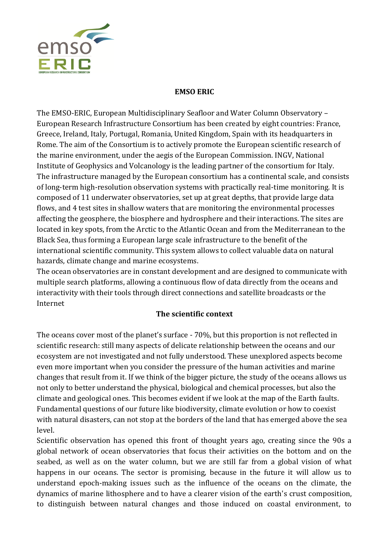

## **EMSO ERIC**

The EMSO-ERIC, European Multidisciplinary Seafloor and Water Column Observatory – European Research Infrastructure Consortium has been created by eight countries: France, Greece, Ireland, Italy, Portugal, Romania, United Kingdom, Spain with its headquarters in Rome. The aim of the Consortium is to actively promote the European scientific research of the marine environment, under the aegis of the European Commission. INGV, National Institute of Geophysics and Volcanology is the leading partner of the consortium for Italy. The infrastructure managed by the European consortium has a continental scale, and consists of long-term high-resolution observation systems with practically real-time monitoring. It is composed of 11 underwater observatories, set up at great depths, that provide large data flows, and 4 test sites in shallow waters that are monitoring the environmental processes affecting the geosphere, the biosphere and hydrosphere and their interactions. The sites are located in key spots, from the Arctic to the Atlantic Ocean and from the Mediterranean to the Black Sea, thus forming a European large scale infrastructure to the benefit of the international scientific community. This system allows to collect valuable data on natural hazards, climate change and marine ecosystems.

The ocean observatories are in constant development and are designed to communicate with multiple search platforms, allowing a continuous flow of data directly from the oceans and interactivity with their tools through direct connections and satellite broadcasts or the Internet

## **The scientific context**

The oceans cover most of the planet's surface - 70%, but this proportion is not reflected in scientific research: still many aspects of delicate relationship between the oceans and our ecosystem are not investigated and not fully understood. These unexplored aspects become even more important when you consider the pressure of the human activities and marine changes that result from it. If we think of the bigger picture, the study of the oceans allows us not only to better understand the physical, biological and chemical processes, but also the climate and geological ones. This becomes evident if we look at the map of the Earth faults. Fundamental questions of our future like biodiversity, climate evolution or how to coexist with natural disasters, can not stop at the borders of the land that has emerged above the sea level.

Scientific observation has opened this front of thought years ago, creating since the 90s a global network of ocean observatories that focus their activities on the bottom and on the seabed, as well as on the water column, but we are still far from a global vision of what happens in our oceans. The sector is promising, because in the future it will allow us to understand epoch-making issues such as the influence of the oceans on the climate, the dynamics of marine lithosphere and to have a clearer vision of the earth's crust composition, to distinguish between natural changes and those induced on coastal environment, to